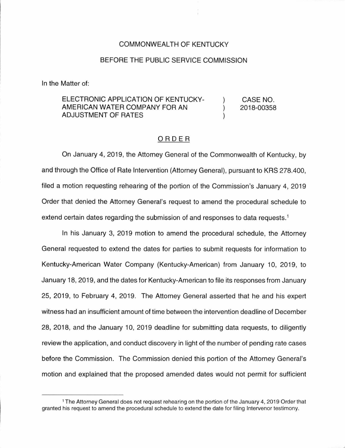### COMMONWEALTH OF KENTUCKY

#### BEFORE THE PUBLIC SERVICE COMMISSION

In the Matter of:

## ELECTRONIC APPLICATION OF KENTUCKY-AMERICAN WATER COMPANY FOR AN ADJUSTMENT OF RATES

CASE NO. 2018-00358

 $\lambda$ 

## ORDER

On January 4, 2019, the Attorney General of the Commonwealth of Kentucky, by and through the Office of Rate Intervention (Attorney General), pursuant to KRS 278.400, filed a motion requesting rehearing of the portion of the Commission's January 4, 2019 Order that denied the Attorney General's request to amend the procedural schedule to extend certain dates regarding the submission of and responses to data requests. 1

In his January 3, 2019 motion to amend the procedural schedule, the Attorney General requested to extend the dates for parties to submit requests for information to Kentucky-American Water Company (Kentucky-American) from January 10, 2019, to January 18, 2019, and the dates for Kentucky-American to file its responses from January 25, 2019, to February 4, 2019. The Attorney General asserted that he and his expert witness had an insufficient amount of time between the intervention deadline of December 28, 2018, and the January 10, 2019 deadline for submitting data requests, to diligently review the application, and conduct discovery in light of the number of pending rate cases before the Commission. The Commission denied this portion of the Attorney General's motion and explained that the proposed amended dates would not permit for sufficient

<sup>1</sup>The Attorney General does not request rehearing on the portion of the January 4, 2019 Order that granted his request to amend the procedural schedule to extend the date for filing Intervenor testimony.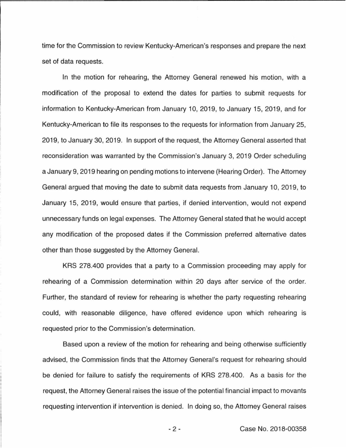time for the Commission to review Kentucky-American's responses and prepare the next set of data requests.

In the motion for rehearing, the Attorney General renewed his motion, with a modification of the proposal to extend the dates for parties to submit requests for information to Kentucky-American from January 10, 2019, to January 15, 2019, and for Kentucky-American to file its responses to the requests for information from January 25, 2019, to January 30, 2019. In support of the request, the Attorney General asserted that reconsideration was warranted by the Commission's January 3, 2019 Order scheduling a January 9, 2019 hearing on pending motions to intervene (Hearing Order). The Attorney General argued that moving the date to submit data requests from January 10, 2019, to January 15, 2019, would ensure that parties, if denied intervention, would not expend unnecessary funds on legal expenses. The Attorney General stated that he would accept any modification of the proposed dates if the Commission preferred alternative dates other than those suggested by the Attorney General.

KRS 278.400 provides that a party to a Commission proceeding may apply for rehearing of a Commission determination within 20 days after service of the order. Further, the standard of review for rehearing is whether the party requesting rehearing could, with reasonable diligence, have offered evidence upon which rehearing is requested prior to the Commission's determination.

Based upon a review of the motion for rehearing and being otherwise sufficiently advised, the Commission finds that the Attorney General's request for rehearing should be denied for failure to satisfy the requirements of KRS 278.400. As a basis for the request, the Attorney General raises the issue of the potential financial impact to movants requesting intervention if intervention is denied. In doing so, the Attorney General raises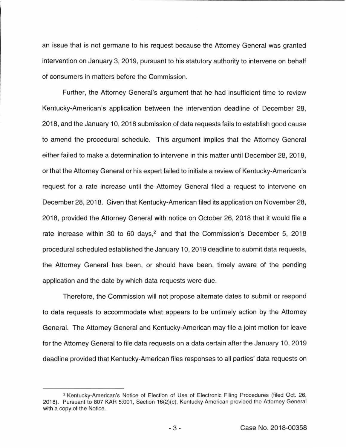an issue that is not germane to his request because the Attorney General was granted intervention on January 3, 2019, pursuant to his statutory authority to intervene on behalf of consumers in matters before the Commission.

Further, the Attorney General's argument that he had insufficient time to review Kentucky-American's application between the intervention deadline of December 28, 2018, and the January 10, 2018 submission of data requests fails to establish good cause to amend the procedural schedule. This argument implies that the Attorney General either failed to make a determination to intervene in this matter until December 28, 2018, or that the Attorney General or his expert failed to initiate a review of Kentucky-American's request for a rate increase until the Attorney General filed a request to intervene on December 28, 2018. Given that Kentucky-American filed its application on November 28, 2018, provided the Attorney General with notice on October 26, 2018 that it would file a rate increase within 30 to 60 days,<sup>2</sup> and that the Commission's December 5, 2018 procedural scheduled established the January 10, 2019 deadline to submit data requests, the Attorney General has been, or should have been, timely aware of the pending application and the date by which data requests were due.

Therefore, the Commission will not propose alternate dates to submit or respond to data requests to accommodate what appears to be untimely action by the Attorney General. The Attorney General and Kentucky-American may file a joint motion for leave for the Attorney General to file data requests on a data certain after the January 10, 2019 deadline provided that Kentucky-American files responses to all parties' data requests on

<sup>2</sup> Kentucky-American's Notice of Election of Use of Electronic Filing Procedures (filed Oct. 26, 2018). Pursuant to 807 KAR 5:001, Section 16(2)(c), Kentucky-American provided the Attorney General with a copy of the Notice.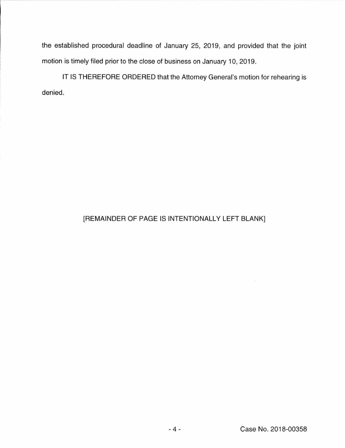the established procedural deadline of January 25, 2019, and provided that the joint motion is timely filed prior to the close of business on January 10, 2019.

IT IS THEREFORE ORDERED that the Attorney General's motion for rehearing is denied.

# [REMAINDER OF PAGE IS INTENTIONALLY LEFT BLANK]